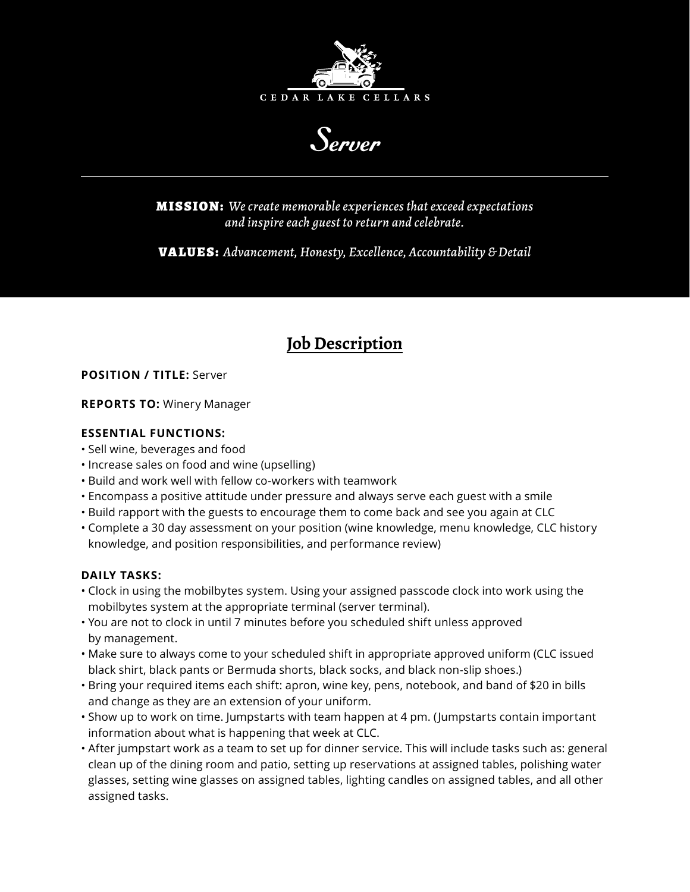

Server

MISSION: *We create memorable experiences that exceed expectations and inspire each guest to return and celebrate.*

VALUES: *Advancement, Honesty, Excellence, Accountability & Detail*

# **Job Description**

# **POSITION / TITLE:** Server

## **REPORTS TO:** Winery Manager

# **ESSENTIAL FUNCTIONS:**

- Sell wine, beverages and food
- Increase sales on food and wine (upselling)
- Build and work well with fellow co-workers with teamwork
- Encompass a positive attitude under pressure and always serve each guest with a smile
- Build rapport with the guests to encourage them to come back and see you again at CLC
- Complete a 30 day assessment on your position (wine knowledge, menu knowledge, CLC history knowledge, and position responsibilities, and performance review)

## **DAILY TASKS:**

- Clock in using the mobilbytes system. Using your assigned passcode clock into work using the mobilbytes system at the appropriate terminal (server terminal).
- You are not to clock in until 7 minutes before you scheduled shift unless approved by management.
- Make sure to always come to your scheduled shift in appropriate approved uniform (CLC issued black shirt, black pants or Bermuda shorts, black socks, and black non-slip shoes.)
- Bring your required items each shift: apron, wine key, pens, notebook, and band of \$20 in bills and change as they are an extension of your uniform.
- Show up to work on time. Jumpstarts with team happen at 4 pm. (Jumpstarts contain important information about what is happening that week at CLC.
- After jumpstart work as a team to set up for dinner service. This will include tasks such as: general clean up of the dining room and patio, setting up reservations at assigned tables, polishing water glasses, setting wine glasses on assigned tables, lighting candles on assigned tables, and all other assigned tasks.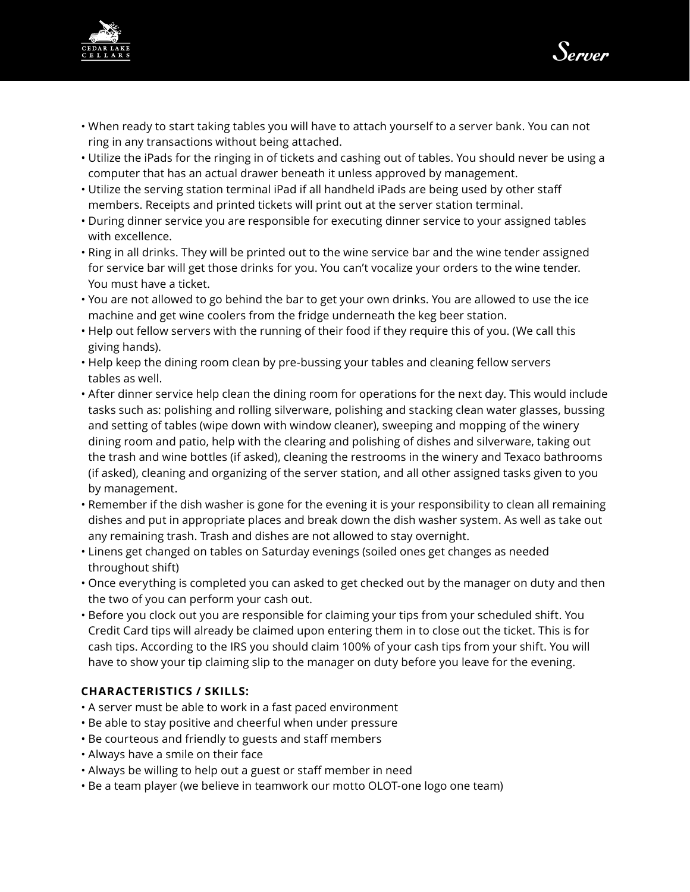



- When ready to start taking tables you will have to attach yourself to a server bank. You can not ring in any transactions without being attached.
- Utilize the iPads for the ringing in of tickets and cashing out of tables. You should never be using a computer that has an actual drawer beneath it unless approved by management.
- Utilize the serving station terminal iPad if all handheld iPads are being used by other staff members. Receipts and printed tickets will print out at the server station terminal.
- During dinner service you are responsible for executing dinner service to your assigned tables with excellence.
- Ring in all drinks. They will be printed out to the wine service bar and the wine tender assigned for service bar will get those drinks for you. You can't vocalize your orders to the wine tender. You must have a ticket.
- You are not allowed to go behind the bar to get your own drinks. You are allowed to use the ice machine and get wine coolers from the fridge underneath the keg beer station.
- Help out fellow servers with the running of their food if they require this of you. (We call this giving hands).
- Help keep the dining room clean by pre-bussing your tables and cleaning fellow servers tables as well.
- After dinner service help clean the dining room for operations for the next day. This would include tasks such as: polishing and rolling silverware, polishing and stacking clean water glasses, bussing and setting of tables (wipe down with window cleaner), sweeping and mopping of the winery dining room and patio, help with the clearing and polishing of dishes and silverware, taking out the trash and wine bottles (if asked), cleaning the restrooms in the winery and Texaco bathrooms (if asked), cleaning and organizing of the server station, and all other assigned tasks given to you by management.
- Remember if the dish washer is gone for the evening it is your responsibility to clean all remaining dishes and put in appropriate places and break down the dish washer system. As well as take out any remaining trash. Trash and dishes are not allowed to stay overnight.
- Linens get changed on tables on Saturday evenings (soiled ones get changes as needed throughout shift)
- Once everything is completed you can asked to get checked out by the manager on duty and then the two of you can perform your cash out.
- Before you clock out you are responsible for claiming your tips from your scheduled shift. You Credit Card tips will already be claimed upon entering them in to close out the ticket. This is for cash tips. According to the IRS you should claim 100% of your cash tips from your shift. You will have to show your tip claiming slip to the manager on duty before you leave for the evening.

## **CHARACTERISTICS / SKILLS:**

- A server must be able to work in a fast paced environment
- Be able to stay positive and cheerful when under pressure
- Be courteous and friendly to guests and staff members
- Always have a smile on their face
- Always be willing to help out a guest or staff member in need
- Be a team player (we believe in teamwork our motto OLOT-one logo one team)